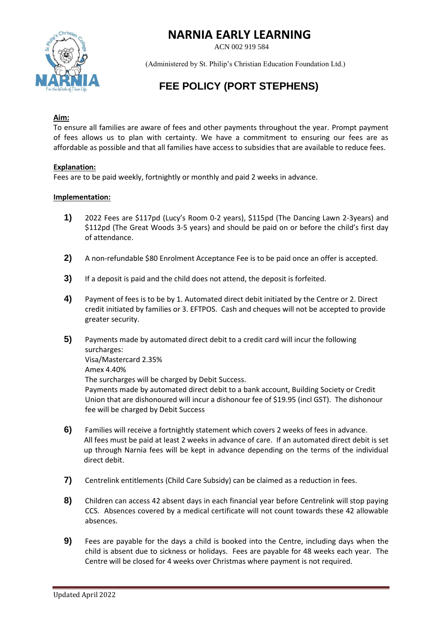

ACN 002 919 584



(Administered by St. Philip's Christian Education Foundation Ltd.)

## **FEE POLICY (PORT STEPHENS)**

## **Aim:**

To ensure all families are aware of fees and other payments throughout the year. Prompt payment of fees allows us to plan with certainty. We have a commitment to ensuring our fees are as affordable as possible and that all families have access to subsidies that are available to reduce fees.

## **Explanation:**

Fees are to be paid weekly, fortnightly or monthly and paid 2 weeks in advance.

## **Implementation:**

- **1)** 2022 Fees are \$117pd (Lucy's Room 0-2 years), \$115pd (The Dancing Lawn 2-3years) and \$112pd (The Great Woods 3-5 years) and should be paid on or before the child's first day of attendance.
- **2)** A non-refundable \$80 Enrolment Acceptance Fee is to be paid once an offer is accepted.
- **3)** If a deposit is paid and the child does not attend, the deposit is forfeited.
- **4)** Payment of fees is to be by 1. Automated direct debit initiated by the Centre or 2. Direct credit initiated by families or 3. EFTPOS. Cash and cheques will not be accepted to provide greater security.
- **5)** Payments made by automated direct debit to a credit card will incur the following surcharges: Visa/Mastercard 2.35% Amex 4.40% The surcharges will be charged by Debit Success. Payments made by automated direct debit to a bank account, Building Society or Credit Union that are dishonoured will incur a dishonour fee of \$19.95 (incl GST). The dishonour fee will be charged by Debit Success
- **6)** Families will receive a fortnightly statement which covers 2 weeks of fees in advance. All fees must be paid at least 2 weeks in advance of care. If an automated direct debit is set up through Narnia fees will be kept in advance depending on the terms of the individual direct debit.
- **7)** Centrelink entitlements (Child Care Subsidy) can be claimed as a reduction in fees.
- **8)** Children can access 42 absent days in each financial year before Centrelink will stop paying CCS. Absences covered by a medical certificate will not count towards these 42 allowable absences.
- **9)** Fees are payable for the days a child is booked into the Centre, including days when the child is absent due to sickness or holidays. Fees are payable for 48 weeks each year. The Centre will be closed for 4 weeks over Christmas where payment is not required.